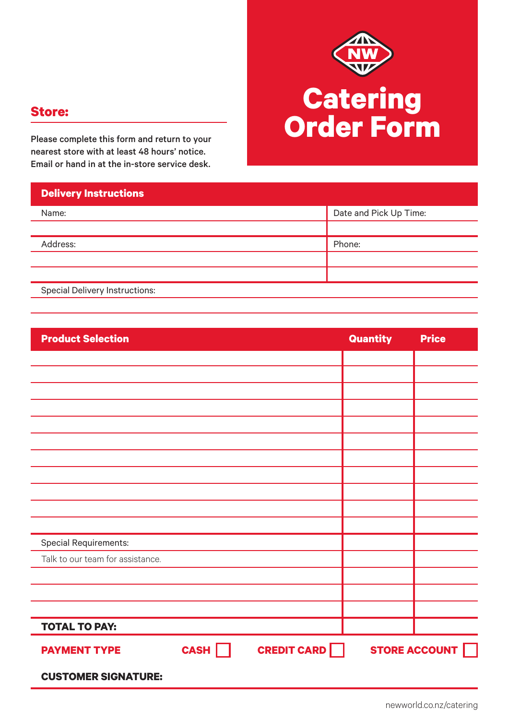

Please complete this form and return to your nearest store with at least 48 hours' notice. Email or hand in at the in-store service desk.

| Date and Pick Up Time:                |  |  |  |
|---------------------------------------|--|--|--|
|                                       |  |  |  |
| Phone:                                |  |  |  |
|                                       |  |  |  |
|                                       |  |  |  |
| <b>Special Delivery Instructions:</b> |  |  |  |
|                                       |  |  |  |

| <b>Product Selection</b>         |      |                    | Quantity | <b>Price</b>  |
|----------------------------------|------|--------------------|----------|---------------|
|                                  |      |                    |          |               |
|                                  |      |                    |          |               |
|                                  |      |                    |          |               |
|                                  |      |                    |          |               |
|                                  |      |                    |          |               |
|                                  |      |                    |          |               |
|                                  |      |                    |          |               |
|                                  |      |                    |          |               |
|                                  |      |                    |          |               |
|                                  |      |                    |          |               |
|                                  |      |                    |          |               |
| <b>Special Requirements:</b>     |      |                    |          |               |
| Talk to our team for assistance. |      |                    |          |               |
|                                  |      |                    |          |               |
|                                  |      |                    |          |               |
|                                  |      |                    |          |               |
| <b>TOTAL TO PAY:</b>             |      |                    |          |               |
| <b>PAYMENT TYPE</b>              | CASH | <b>CREDIT CARD</b> |          | STORE ACCOUNT |
| <b>CUSTOMER SIGNATURE:</b>       |      |                    |          |               |